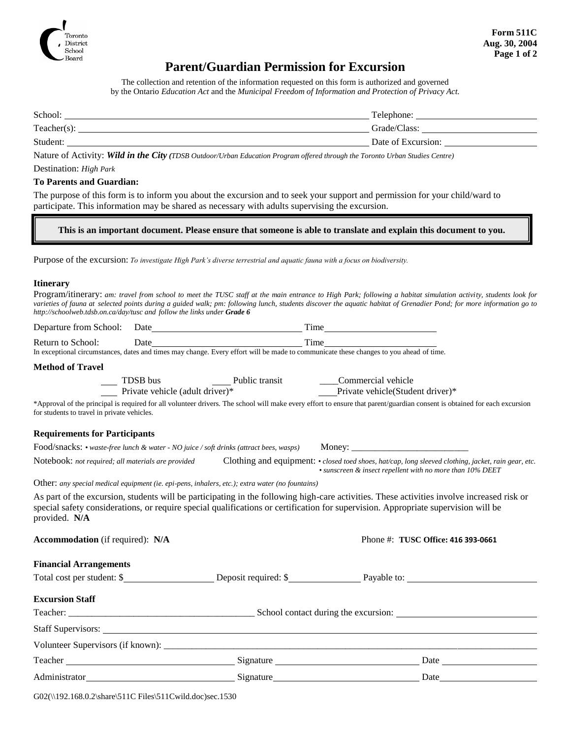

# **Parent/Guardian Permission for Excursion**

The collection and retention of the information requested on this form is authorized and governed by the Ontario *Education Act* and the *Municipal Freedom of Information and Protection of Privacy Act.*

| School:     | Telephone:         |
|-------------|--------------------|
| Teacher(s): | Grade/Class:       |
| Student:    | Date of Excursion: |

Nature of Activity: *Wild in the City (TDSB Outdoor/Urban Education Program offered through the Toronto Urban Studies Centre)*

## Destination: *High Park*

### **To Parents and Guardian:**

The purpose of this form is to inform you about the excursion and to seek your support and permission for your child/ward to participate. This information may be shared as necessary with adults supervising the excursion.

#### **This is an important document. Please ensure that someone is able to translate and explain this document to you.**

Purpose of the excursion: *To investigate High Park's diverse terrestrial and aquatic fauna with a focus on biodiversity.*

#### **Itinerary**

| Program/itinerary: am: travel from school to meet the TUSC staff at the main entrance to High Park; following a habitat simulation activity, students look for       |  |
|----------------------------------------------------------------------------------------------------------------------------------------------------------------------|--|
| varieties of fauna at selected points during a guided walk; pm: following lunch, students discover the aquatic habitat of Grenadier Pond; for more information go to |  |
| http://schoolweb.tdsb.on.ca/day/tusc and follow the links under <b>Grade 6</b>                                                                                       |  |

|                                                    |                                                                                                 | Time                                                                                                                                                                                                                                                                             |
|----------------------------------------------------|-------------------------------------------------------------------------------------------------|----------------------------------------------------------------------------------------------------------------------------------------------------------------------------------------------------------------------------------------------------------------------------------|
|                                                    |                                                                                                 |                                                                                                                                                                                                                                                                                  |
|                                                    |                                                                                                 |                                                                                                                                                                                                                                                                                  |
| <b>Method of Travel</b>                            |                                                                                                 |                                                                                                                                                                                                                                                                                  |
|                                                    |                                                                                                 | Private vehicle(Student driver)*                                                                                                                                                                                                                                                 |
| for students to travel in private vehicles.        |                                                                                                 | *Approval of the principal is required for all volunteer drivers. The school will make every effort to ensure that parent/guardian consent is obtained for each excursion                                                                                                        |
| <b>Requirements for Participants</b>               |                                                                                                 |                                                                                                                                                                                                                                                                                  |
|                                                    |                                                                                                 | Food/snacks: • waste-free lunch & water - NO juice / soft drinks (attract bees, wasps) Money:                                                                                                                                                                                    |
| Notebook: not required; all materials are provided |                                                                                                 | Clothing and equipment: • closed toed shoes, hat/cap, long sleeved clothing, jacket, rain gear, etc.<br>• sunscreen & insect repellent with no more than 10% DEET                                                                                                                |
|                                                    | Other: any special medical equipment (ie. epi-pens, inhalers, etc.); extra water (no fountains) |                                                                                                                                                                                                                                                                                  |
| provided. N/A                                      |                                                                                                 | As part of the excursion, students will be participating in the following high-care activities. These activities involve increased risk or<br>special safety considerations, or require special qualifications or certification for supervision. Appropriate supervision will be |
| <b>Accommodation</b> (if required): N/A            |                                                                                                 | Phone #: TUSC Office: 416 393-0661                                                                                                                                                                                                                                               |
| <b>Financial Arrangements</b>                      |                                                                                                 |                                                                                                                                                                                                                                                                                  |
|                                                    |                                                                                                 | Total cost per student: \$ 1000 Legislation Construction Construction Construction Construction Construction Construction Construction Construction Construction Construction Construction Construction Construction Constructi                                                  |
| <b>Excursion Staff</b>                             |                                                                                                 |                                                                                                                                                                                                                                                                                  |
|                                                    |                                                                                                 |                                                                                                                                                                                                                                                                                  |
|                                                    |                                                                                                 |                                                                                                                                                                                                                                                                                  |
|                                                    |                                                                                                 |                                                                                                                                                                                                                                                                                  |
|                                                    |                                                                                                 |                                                                                                                                                                                                                                                                                  |
| Administrator                                      | Signature                                                                                       | Date                                                                                                                                                                                                                                                                             |

G02(\\192.168.0.2\share\511C Files\511Cwild.doc)sec.1530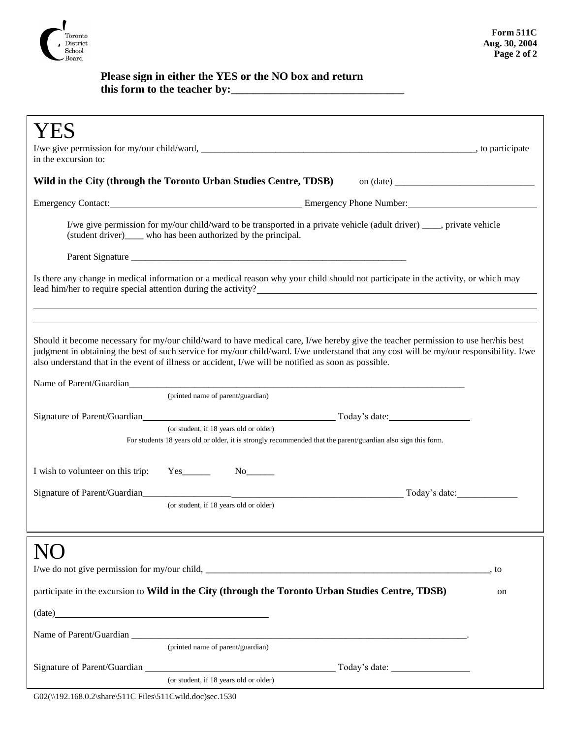

## **Please sign in either the YES or the NO box and return this form to the teacher by:\_\_\_\_\_\_\_\_\_\_\_\_\_\_\_\_\_\_\_\_\_\_\_\_\_\_\_\_\_\_\_**

| in the excursion to:                                                                                                                                                                                                                                                                                                                                                                  |  |  |  |  |
|---------------------------------------------------------------------------------------------------------------------------------------------------------------------------------------------------------------------------------------------------------------------------------------------------------------------------------------------------------------------------------------|--|--|--|--|
| Wild in the City (through the Toronto Urban Studies Centre, TDSB) on (date) ________________________                                                                                                                                                                                                                                                                                  |  |  |  |  |
| Emergency Contact: <u>Emergency Phone Number:</u> Emergency Phone Number:                                                                                                                                                                                                                                                                                                             |  |  |  |  |
| I/we give permission for my/our child/ward to be transported in a private vehicle (adult driver) ____, private vehicle<br>(student driver)_____ who has been authorized by the principal.                                                                                                                                                                                             |  |  |  |  |
|                                                                                                                                                                                                                                                                                                                                                                                       |  |  |  |  |
| Is there any change in medical information or a medical reason why your child should not participate in the activity, or which may<br>lead him/her to require special attention during the activity?                                                                                                                                                                                  |  |  |  |  |
|                                                                                                                                                                                                                                                                                                                                                                                       |  |  |  |  |
| Should it become necessary for my/our child/ward to have medical care, I/we hereby give the teacher permission to use her/his best<br>judgment in obtaining the best of such service for my/our child/ward. I/we understand that any cost will be my/our responsibility. I/we<br>also understand that in the event of illness or accident, I/we will be notified as soon as possible. |  |  |  |  |
| Name of Parent/Guardian<br>(printed name of parent/guardian)                                                                                                                                                                                                                                                                                                                          |  |  |  |  |
|                                                                                                                                                                                                                                                                                                                                                                                       |  |  |  |  |
| (or student, if 18 years old or older)<br>For students 18 years old or older, it is strongly recommended that the parent/guardian also sign this form.                                                                                                                                                                                                                                |  |  |  |  |
|                                                                                                                                                                                                                                                                                                                                                                                       |  |  |  |  |
| I wish to volunteer on this trip:<br>$Yes$ <sub>_________</sub>                                                                                                                                                                                                                                                                                                                       |  |  |  |  |
| Today's date:                                                                                                                                                                                                                                                                                                                                                                         |  |  |  |  |
| (or student, if 18 years old or older)                                                                                                                                                                                                                                                                                                                                                |  |  |  |  |
|                                                                                                                                                                                                                                                                                                                                                                                       |  |  |  |  |
|                                                                                                                                                                                                                                                                                                                                                                                       |  |  |  |  |
| , to                                                                                                                                                                                                                                                                                                                                                                                  |  |  |  |  |
| participate in the excursion to Wild in the City (through the Toronto Urban Studies Centre, TDSB)<br>on                                                                                                                                                                                                                                                                               |  |  |  |  |
| $(data)$ $(date)$                                                                                                                                                                                                                                                                                                                                                                     |  |  |  |  |
|                                                                                                                                                                                                                                                                                                                                                                                       |  |  |  |  |
| (printed name of parent/guardian)                                                                                                                                                                                                                                                                                                                                                     |  |  |  |  |
| Signature of Parent/Guardian<br><u>Land Communication</u>                                                                                                                                                                                                                                                                                                                             |  |  |  |  |
| (or student, if 18 years old or older)                                                                                                                                                                                                                                                                                                                                                |  |  |  |  |